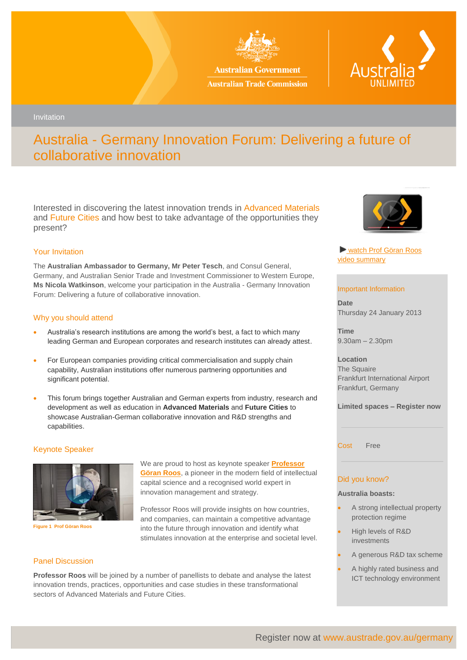

**Australian Government Australian Trade Commission** 



Invitation

# Australia - Germany Innovation Forum: Delivering a future of collaborative innovation

Interested in discovering the latest innovation trends in Advanced Materials and Future Cities and how best to take advantage of the opportunities they present?

# Your Invitation

The **Australian Ambassador to Germany, Mr Peter Tesch**, and Consul General, Germany, and Australian Senior Trade and Investment Commissioner to Western Europe, **Ms Nicola Watkinson**, welcome your participation in the Australia - Germany Innovation Forum: Delivering a future of collaborative innovation.

# Why you should attend

- Australia's research institutions are among the world's best, a fact to which many leading German and European corporates and research institutes can already attest.
- For European companies providing critical commercialisation and supply chain capability, Australian institutions offer numerous partnering opportunities and significant potential.
- This forum brings together Australian and German experts from industry, research and development as well as education in **Advanced Materials** and **Future Cities** to showcase Australian-German collaborative innovation and R&D strengths and capabilities.

# Keynote Speaker



**Figure 1 Prof Göran Roos**

We are proud to host as keynote speaker **[Professor](http://www.youtube.com/watch?v=Pm4wRKVgpsI)  [Göran Roos](http://www.youtube.com/watch?v=Pm4wRKVgpsI)**, a pioneer in the modern field of intellectual capital science and a recognised world expert in innovation management and strategy.

Professor Roos will provide insights on how countries, and companies, can maintain a competitive advantage into the future through innovation and identify what stimulates innovation at the enterprise and societal level.

## Panel Discussion

**Professor Roos** will be joined by a number of panellists to debate and analyse the latest innovation trends, practices, opportunities and case studies in these transformational sectors of Advanced Materials and Future Cities.



[watch Prof Göran Roos](http://www.youtube.com/watch?v=Pm4wRKVgpsI) [video summary](http://www.youtube.com/watch?v=Pm4wRKVgpsI)

#### Important Information

**Date** Thursday 24 January 2013

**Time** 9.30am – 2.30pm

**Location** The Squaire Frankfurt International Airport Frankfurt, Germany

**Limited spaces – Register now**

Cost Free

# Did you know?

### **Australia boasts:**

- A strong intellectual property protection regime
- High levels of R&D investments
- A generous R&D tax scheme
- A highly rated business and ICT technology environment